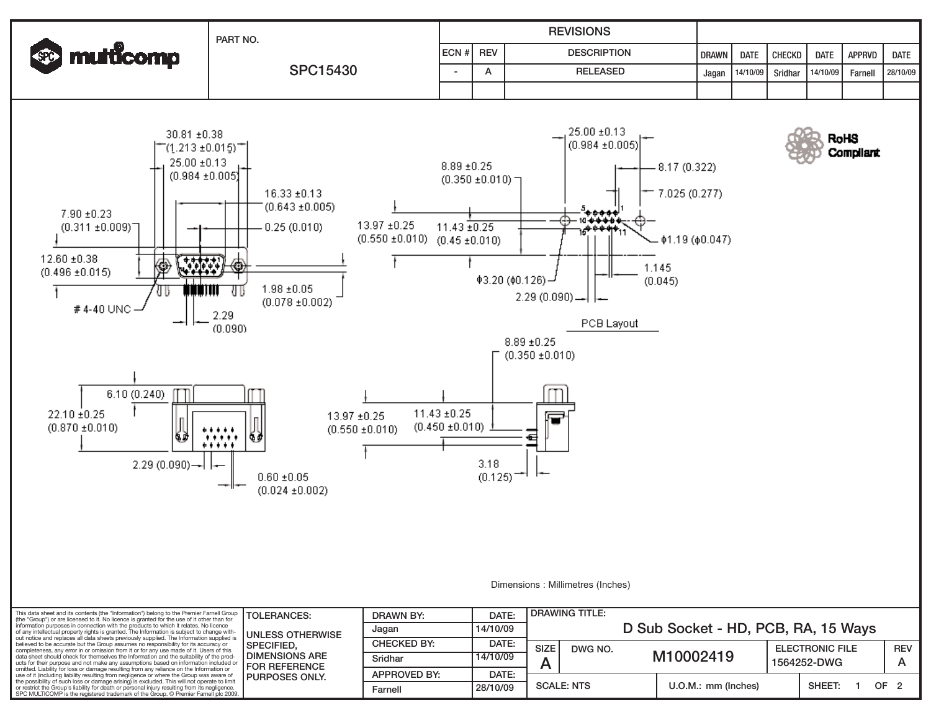| <b>SO multicomp</b> | PART NO.        |              | <b>REVISIONS</b> |                    |       |             |                                       |             |               |             |  |  |  |
|---------------------|-----------------|--------------|------------------|--------------------|-------|-------------|---------------------------------------|-------------|---------------|-------------|--|--|--|
|                     | <b>SPC15430</b> | $ ECN# $ REV |                  | <b>DESCRIPTION</b> | DRAWN | <b>DATE</b> | I CHECKD                              | <b>DATE</b> | <b>APPRVD</b> | <b>DATE</b> |  |  |  |
|                     |                 |              |                  | <b>RELEASED</b>    |       |             | Jagan   14/10/09   Sridhar   14/10/09 |             | Farnell       | 28/10/09    |  |  |  |
|                     |                 |              |                  |                    |       |             |                                       |             |               |             |  |  |  |



Dimensions : Millimetres (Inches)

**RoHS** 

**Compliant** 

| This data sheet and its contents (the "Information") belong to the Premier Farnell Group<br>(the "Group") or are licensed to it. No licence is granted for the use of it other than for<br>information purposes in connection with the products to which it relates. No licence<br>of any intellectual property rights is granted. The Information is subject to change with-<br>out notice and replaces all data sheets previously supplied. The Information supplied is<br>believed to be accurate but the Group assumes no responsibility for its accuracy or<br>completeness, any error in or omission from it or for any use made of it. Users of this<br>data sheet should check for themselves the Information and the suitability of the prod-<br>ucts for their purpose and not make any assumptions based on information included or<br>omitted. Liability for loss or damage resulting from any reliance on the Information or<br>use of it (including liability resulting from negligence or where the Group was aware of<br>the possibility of such loss or damage arising) is excluded. This will not operate to limit<br>or restrict the Group's liability for death or personal injury resulting from its negligence.<br>SPC MULTICOMP is the registered trademark of the Group. © Premier Farnell plc 2009. | <b>TOLERANCES:</b>                                                                                              | DRAWN BY:           | DATE:    | <b>DRAWING TITLE:</b>               |                     |                                       |        |                 |
|------------------------------------------------------------------------------------------------------------------------------------------------------------------------------------------------------------------------------------------------------------------------------------------------------------------------------------------------------------------------------------------------------------------------------------------------------------------------------------------------------------------------------------------------------------------------------------------------------------------------------------------------------------------------------------------------------------------------------------------------------------------------------------------------------------------------------------------------------------------------------------------------------------------------------------------------------------------------------------------------------------------------------------------------------------------------------------------------------------------------------------------------------------------------------------------------------------------------------------------------------------------------------------------------------------------------------|-----------------------------------------------------------------------------------------------------------------|---------------------|----------|-------------------------------------|---------------------|---------------------------------------|--------|-----------------|
|                                                                                                                                                                                                                                                                                                                                                                                                                                                                                                                                                                                                                                                                                                                                                                                                                                                                                                                                                                                                                                                                                                                                                                                                                                                                                                                              | UNLESS OTHERWISE<br><b>ISPECIFIED.</b><br>I DIMENSIONS ARE<br><b>I FOR REFERENCE</b><br><b>I PURPOSES ONLY.</b> | Jagan               | 14/10/09 | D Sub Socket - HD, PCB, RA, 15 Ways |                     |                                       |        |                 |
|                                                                                                                                                                                                                                                                                                                                                                                                                                                                                                                                                                                                                                                                                                                                                                                                                                                                                                                                                                                                                                                                                                                                                                                                                                                                                                                              |                                                                                                                 | <b>CHECKED BY:</b>  | DATE:    | <b>SIZE</b><br>DWG NO.              |                     | <b>ELECTRONIC FILE</b><br>1564252-DWG |        | <b>REV</b>      |
|                                                                                                                                                                                                                                                                                                                                                                                                                                                                                                                                                                                                                                                                                                                                                                                                                                                                                                                                                                                                                                                                                                                                                                                                                                                                                                                              |                                                                                                                 | Sridhar             | 14/10/09 |                                     | M10002419           |                                       |        |                 |
|                                                                                                                                                                                                                                                                                                                                                                                                                                                                                                                                                                                                                                                                                                                                                                                                                                                                                                                                                                                                                                                                                                                                                                                                                                                                                                                              |                                                                                                                 | <b>APPROVED BY:</b> | DATE:    |                                     |                     |                                       |        |                 |
|                                                                                                                                                                                                                                                                                                                                                                                                                                                                                                                                                                                                                                                                                                                                                                                                                                                                                                                                                                                                                                                                                                                                                                                                                                                                                                                              |                                                                                                                 | Farnell             | 28/10/09 | <b>SCALE: NTS</b>                   | U.O.M.: mm (Inches) |                                       | SHEET: | OF <sub>2</sub> |